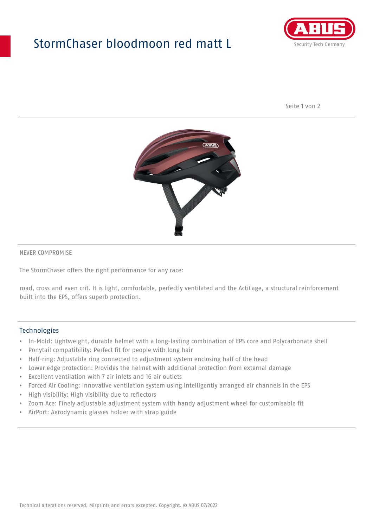## StormChaser bloodmoon red matt L



Seite 1 von 2



#### NEVER COMPROMISE

The StormChaser offers the right performance for any race:

road, cross and even crit. It is light, comfortable, perfectly ventilated and the ActiCage, a structural reinforcement built into the EPS, offers superb protection.

#### **Technologies**

- In-Mold: Lightweight, durable helmet with a long-lasting combination of EPS core and Polycarbonate shell
- Ponytail compatibility: Perfect fit for people with long hair
- Half-ring: Adjustable ring connected to adjustment system enclosing half of the head
- Lower edge protection: Provides the helmet with additional protection from external damage
- Excellent ventilation with 7 air inlets and 16 air outlets
- Forced Air Cooling: Innovative ventilation system using intelligently arranged air channels in the EPS
- High visibility: High visibility due to reflectors
- Zoom Ace: Finely adjustable adjustment system with handy adjustment wheel for customisable fit
- AirPort: Aerodynamic glasses holder with strap guide